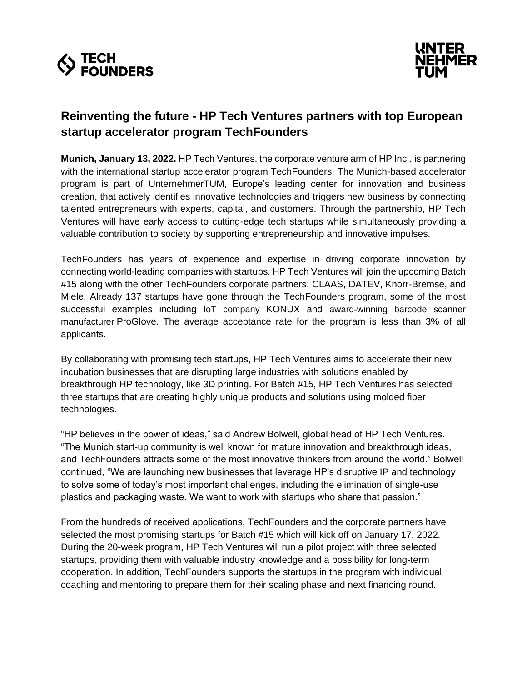



# **Reinventing the future - HP Tech Ventures partners with top European startup accelerator program TechFounders**

**Munich, January 13, 2022.** HP Tech Ventures, the corporate venture arm of HP Inc., is partnering with the international startup accelerator program TechFounders. The Munich-based accelerator program is part of UnternehmerTUM, Europe's leading center for innovation and business creation, that actively identifies innovative technologies and triggers new business by connecting talented entrepreneurs with experts, capital, and customers. Through the partnership, HP Tech Ventures will have early access to cutting-edge tech startups while simultaneously providing a valuable contribution to society by supporting entrepreneurship and innovative impulses.

TechFounders has years of experience and expertise in driving corporate innovation by connecting world-leading companies with startups. HP Tech Ventures will join the upcoming Batch #15 along with the other TechFounders corporate partners: CLAAS, DATEV, Knorr-Bremse, and Miele. Already 137 startups have gone through the TechFounders program, some of the most successful examples including IoT company KONUX and award-winning barcode scanner manufacturer ProGlove. The average acceptance rate for the program is less than 3% of all applicants.

By collaborating with promising tech startups, HP Tech Ventures aims to accelerate their new incubation businesses that are disrupting large industries with solutions enabled by breakthrough HP technology, like 3D printing. For Batch #15, HP Tech Ventures has selected three startups that are creating highly unique products and solutions using molded fiber technologies.

"HP believes in the power of ideas," said Andrew Bolwell, global head of HP Tech Ventures. "The Munich start-up community is well known for mature innovation and breakthrough ideas, and TechFounders attracts some of the most innovative thinkers from around the world." Bolwell continued, "We are launching new businesses that leverage HP's disruptive IP and technology to solve some of today's most important challenges, including the elimination of single-use plastics and packaging waste. We want to work with startups who share that passion."

From the hundreds of received applications, TechFounders and the corporate partners have selected the most promising startups for Batch #15 which will kick off on January 17, 2022. During the 20-week program, HP Tech Ventures will run a pilot project with three selected startups, providing them with valuable industry knowledge and a possibility for long-term cooperation. In addition, TechFounders supports the startups in the program with individual coaching and mentoring to prepare them for their scaling phase and next financing round.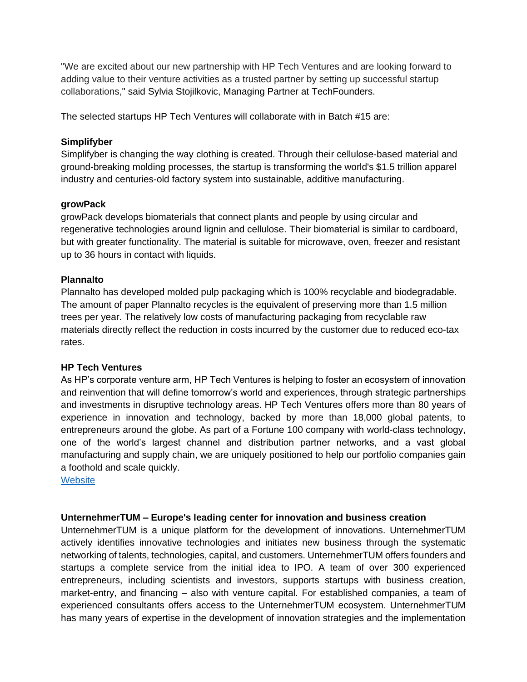"We are excited about our new partnership with HP Tech Ventures and are looking forward to adding value to their venture activities as a trusted partner by setting up successful startup collaborations," said Sylvia Stojilkovic, Managing Partner at TechFounders.

The selected startups HP Tech Ventures will collaborate with in Batch #15 are:

### **Simplifyber**

Simplifyber is changing the way clothing is created. Through their cellulose-based material and ground-breaking molding processes, the startup is transforming the world's \$1.5 trillion apparel industry and centuries-old factory system into sustainable, additive manufacturing.

### **growPack**

growPack develops biomaterials that connect plants and people by using circular and regenerative technologies around lignin and cellulose. Their biomaterial is similar to cardboard, but with greater functionality. The material is suitable for microwave, oven, freezer and resistant up to 36 hours in contact with liquids.

### **Plannalto**

Plannalto has developed molded pulp packaging which is 100% recyclable and biodegradable. The amount of paper Plannalto recycles is the equivalent of preserving more than 1.5 million trees per year. The relatively low costs of manufacturing packaging from recyclable raw materials directly reflect the reduction in costs incurred by the customer due to reduced eco-tax rates.

#### **HP Tech Ventures**

As HP's corporate venture arm, HP Tech Ventures is helping to foster an ecosystem of innovation and reinvention that will define tomorrow's world and experiences, through strategic partnerships and investments in disruptive technology areas. HP Tech Ventures offers more than 80 years of experience in innovation and technology, backed by more than 18,000 global patents, to entrepreneurs around the globe. As part of a Fortune 100 company with world-class technology, one of the world's largest channel and distribution partner networks, and a vast global manufacturing and supply chain, we are uniquely positioned to help our portfolio companies gain a foothold and scale quickly.

**[Website](https://hptechventures.com/)** 

## **UnternehmerTUM – Europe's leading center for innovation and business creation**

UnternehmerTUM is a unique platform for the development of innovations. UnternehmerTUM actively identifies innovative technologies and initiates new business through the systematic networking of talents, technologies, capital, and customers. UnternehmerTUM offers founders and startups a complete service from the initial idea to IPO. A team of over 300 experienced entrepreneurs, including scientists and investors, supports startups with business creation, market-entry, and financing – also with venture capital. For established companies, a team of experienced consultants offers access to the UnternehmerTUM ecosystem. UnternehmerTUM has many years of expertise in the development of innovation strategies and the implementation